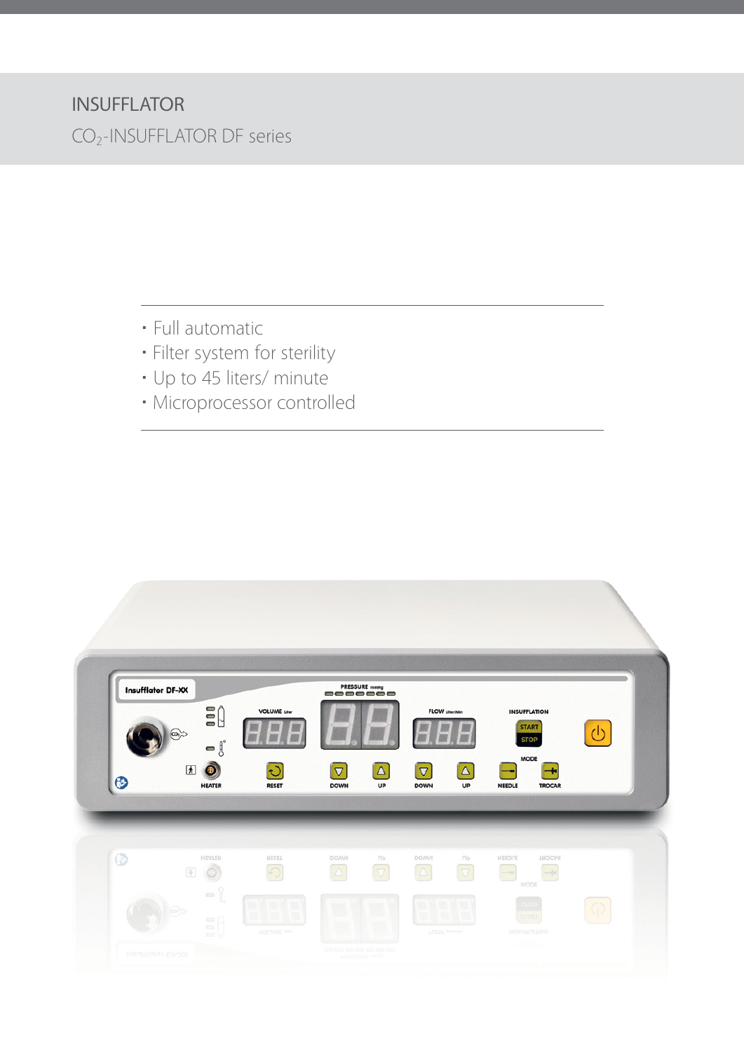## INSUFFLATOR

CO2-INSUFFLATOR DF series

- **·** Full automatic
- **·** Filter system for sterility
- **·** Up to 45 liters/ minute
- **·** Microprocessor controlled